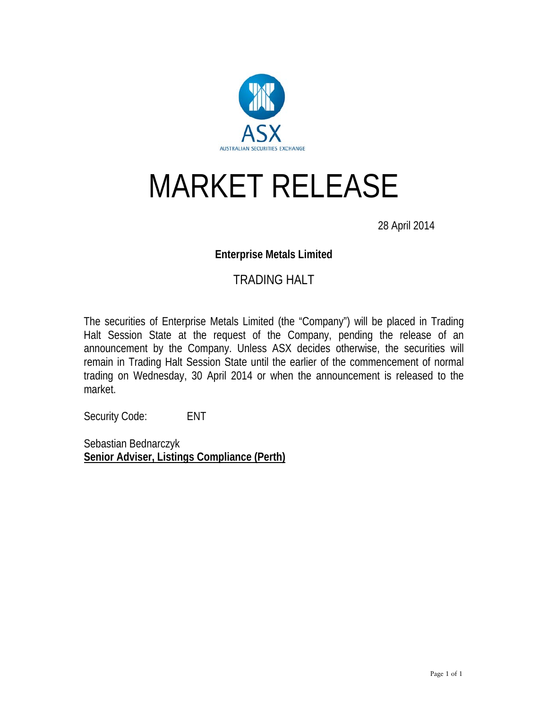

# MARKET RELEASE

28 April 2014

#### **Enterprise Metals Limited**

### TRADING HALT

The securities of Enterprise Metals Limited (the "Company") will be placed in Trading Halt Session State at the request of the Company, pending the release of an announcement by the Company. Unless ASX decides otherwise, the securities will remain in Trading Halt Session State until the earlier of the commencement of normal trading on Wednesday, 30 April 2014 or when the announcement is released to the market.

Security Code: ENT

Sebastian Bednarczyk **Senior Adviser, Listings Compliance (Perth)**